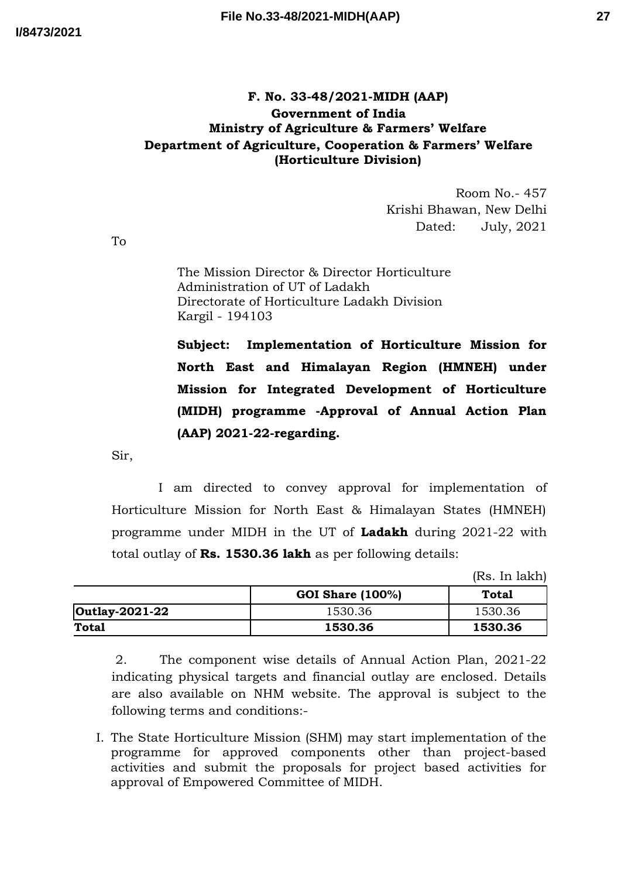## **F. No. 33-48/2021-MIDH (AAP) Government of India Ministry of Agriculture & Farmers' Welfare Department of Agriculture, Cooperation & Farmers' Welfare (Horticulture Division)**

Room No.- 457 Krishi Bhawan, New Delhi Dated: July, 2021

To

The Mission Director & Director Horticulture Administration of UT of Ladakh Directorate of Horticulture Ladakh Division Kargil - 194103

**Subject: Implementation of Horticulture Mission for North East and Himalayan Region (HMNEH) under Mission for Integrated Development of Horticulture (MIDH) programme -Approval of Annual Action Plan (AAP) 2021-22-regarding.**

Sir,

I am directed to convey approval for implementation of Horticulture Mission for North East & Himalayan States (HMNEH) programme under MIDH in the UT of **Ladakh** during 2021-22 with total outlay of **Rs. 1530.36 lakh** as per following details:

(Rs. In lakh)

|                |                         | .       |
|----------------|-------------------------|---------|
|                | <b>GOI Share (100%)</b> | Total   |
| Outlay-2021-22 | 1530.36                 | 1530.36 |
| <b>Total</b>   | 1530.36                 | 1530.36 |

2. The component wise details of Annual Action Plan, 2021-22 indicating physical targets and financial outlay are enclosed. Details are also available on NHM website. The approval is subject to the following terms and conditions:-

I. The State Horticulture Mission (SHM) may start implementation of the programme for approved components other than project-based activities and submit the proposals for project based activities for approval of Empowered Committee of MIDH.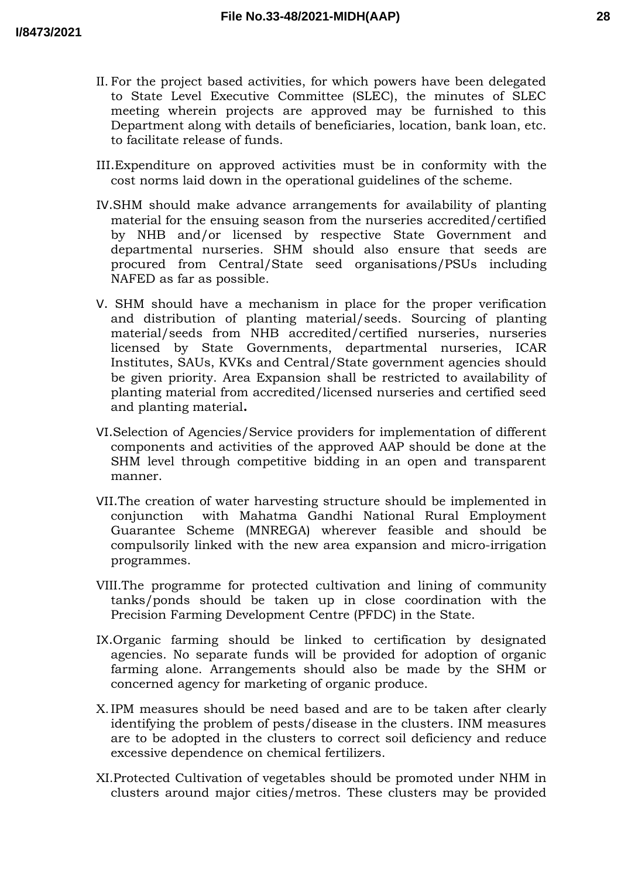- II. For the project based activities, for which powers have been delegated to State Level Executive Committee (SLEC), the minutes of SLEC meeting wherein projects are approved may be furnished to this Department along with details of beneficiaries, location, bank loan, etc. to facilitate release of funds.
- III.Expenditure on approved activities must be in conformity with the cost norms laid down in the operational guidelines of the scheme.
- IV.SHM should make advance arrangements for availability of planting material for the ensuing season from the nurseries accredited/certified by NHB and/or licensed by respective State Government and departmental nurseries. SHM should also ensure that seeds are procured from Central/State seed organisations/PSUs including NAFED as far as possible.
- V. SHM should have a mechanism in place for the proper verification and distribution of planting material/seeds. Sourcing of planting material/seeds from NHB accredited/certified nurseries, nurseries licensed by State Governments, departmental nurseries, ICAR Institutes, SAUs, KVKs and Central/State government agencies should be given priority. Area Expansion shall be restricted to availability of planting material from accredited/licensed nurseries and certified seed and planting material**.**
- VI.Selection of Agencies/Service providers for implementation of different components and activities of the approved AAP should be done at the SHM level through competitive bidding in an open and transparent manner.
- VII.The creation of water harvesting structure should be implemented in conjunction with Mahatma Gandhi National Rural Employment Guarantee Scheme (MNREGA) wherever feasible and should be compulsorily linked with the new area expansion and micro-irrigation programmes.
- VIII.The programme for protected cultivation and lining of community tanks/ponds should be taken up in close coordination with the Precision Farming Development Centre (PFDC) in the State.
- IX.Organic farming should be linked to certification by designated agencies. No separate funds will be provided for adoption of organic farming alone. Arrangements should also be made by the SHM or concerned agency for marketing of organic produce.
- X.IPM measures should be need based and are to be taken after clearly identifying the problem of pests/disease in the clusters. INM measures are to be adopted in the clusters to correct soil deficiency and reduce excessive dependence on chemical fertilizers.
- XI.Protected Cultivation of vegetables should be promoted under NHM in clusters around major cities/metros. These clusters may be provided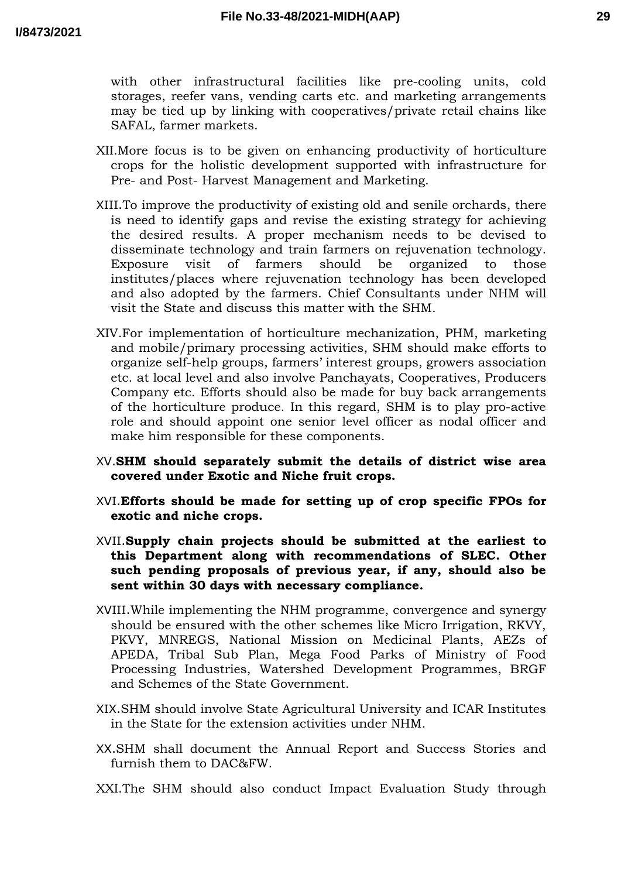with other infrastructural facilities like pre-cooling units, cold storages, reefer vans, vending carts etc. and marketing arrangements may be tied up by linking with cooperatives/private retail chains like SAFAL, farmer markets.

- XII.More focus is to be given on enhancing productivity of horticulture crops for the holistic development supported with infrastructure for Pre- and Post- Harvest Management and Marketing.
- XIII.To improve the productivity of existing old and senile orchards, there is need to identify gaps and revise the existing strategy for achieving the desired results. A proper mechanism needs to be devised to disseminate technology and train farmers on rejuvenation technology. Exposure visit of farmers should be organized to those institutes/places where rejuvenation technology has been developed and also adopted by the farmers. Chief Consultants under NHM will visit the State and discuss this matter with the SHM.
- XIV.For implementation of horticulture mechanization, PHM, marketing and mobile/primary processing activities, SHM should make efforts to organize self-help groups, farmers' interest groups, growers association etc. at local level and also involve Panchayats, Cooperatives, Producers Company etc. Efforts should also be made for buy back arrangements of the horticulture produce. In this regard, SHM is to play pro-active role and should appoint one senior level officer as nodal officer and make him responsible for these components.
- XV.**SHM should separately submit the details of district wise area covered under Exotic and Niche fruit crops.**
- XVI.**Efforts should be made for setting up of crop specific FPOs for exotic and niche crops.**
- XVII.**Supply chain projects should be submitted at the earliest to this Department along with recommendations of SLEC. Other such pending proposals of previous year, if any, should also be sent within 30 days with necessary compliance.**
- XVIII.While implementing the NHM programme, convergence and synergy should be ensured with the other schemes like Micro Irrigation, RKVY, PKVY, MNREGS, National Mission on Medicinal Plants, AEZs of APEDA, Tribal Sub Plan, Mega Food Parks of Ministry of Food Processing Industries, Watershed Development Programmes, BRGF and Schemes of the State Government.
- XIX.SHM should involve State Agricultural University and ICAR Institutes in the State for the extension activities under NHM.
- XX.SHM shall document the Annual Report and Success Stories and furnish them to DAC&FW.
- XXI.The SHM should also conduct Impact Evaluation Study through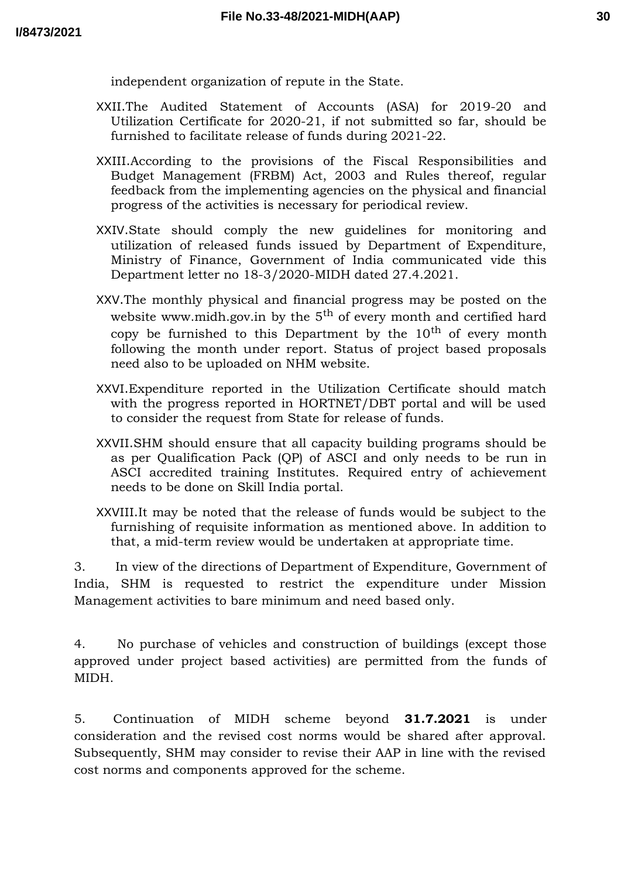**30**

independent organization of repute in the State.

- XXII.The Audited Statement of Accounts (ASA) for 2019-20 and Utilization Certificate for 2020-21, if not submitted so far, should be furnished to facilitate release of funds during 2021-22.
- XXIII.According to the provisions of the Fiscal Responsibilities and Budget Management (FRBM) Act, 2003 and Rules thereof, regular feedback from the implementing agencies on the physical and financial progress of the activities is necessary for periodical review.
- XXIV.State should comply the new guidelines for monitoring and utilization of released funds issued by Department of Expenditure, Ministry of Finance, Government of India communicated vide this Department letter no 18-3/2020-MIDH dated 27.4.2021.
- XXV.The monthly physical and financial progress may be posted on the website www.midh.gov.in by the  $5<sup>th</sup>$  of every month and certified hard copy be furnished to this Department by the  $10<sup>th</sup>$  of every month following the month under report. Status of project based proposals need also to be uploaded on NHM website.
- XXVI.Expenditure reported in the Utilization Certificate should match with the progress reported in HORTNET/DBT portal and will be used to consider the request from State for release of funds.
- XXVII.SHM should ensure that all capacity building programs should be as per Qualification Pack (QP) of ASCI and only needs to be run in ASCI accredited training Institutes. Required entry of achievement needs to be done on Skill India portal.
- XXVIII.It may be noted that the release of funds would be subject to the furnishing of requisite information as mentioned above. In addition to that, a mid-term review would be undertaken at appropriate time.

3. In view of the directions of Department of Expenditure, Government of India, SHM is requested to restrict the expenditure under Mission Management activities to bare minimum and need based only.

4. No purchase of vehicles and construction of buildings (except those approved under project based activities) are permitted from the funds of MIDH.

5. Continuation of MIDH scheme beyond **31.7.2021** is under consideration and the revised cost norms would be shared after approval. Subsequently, SHM may consider to revise their AAP in line with the revised cost norms and components approved for the scheme.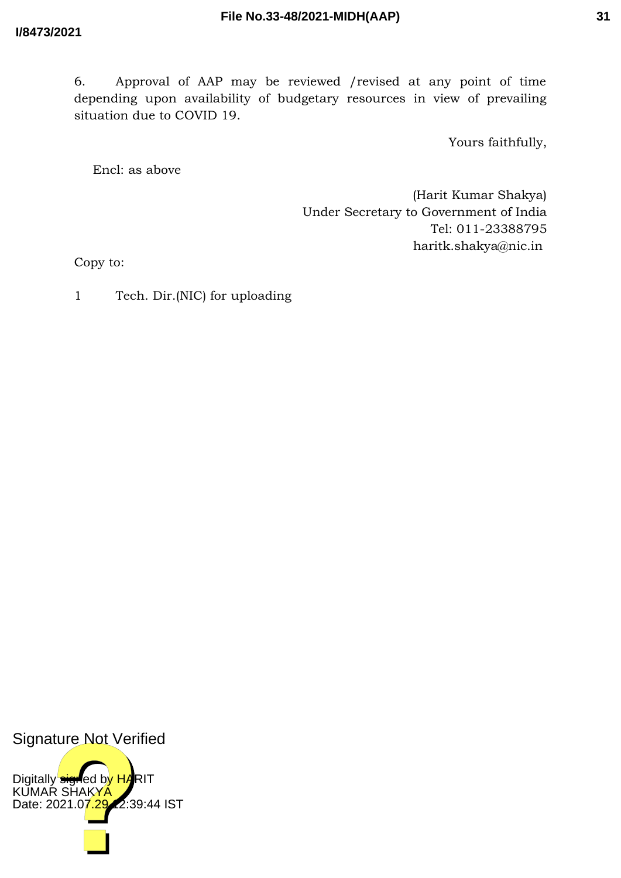6. Approval of AAP may be reviewed /revised at any point of time depending upon availability of budgetary resources in view of prevailing situation due to COVID 19.

Yours faithfully,

Encl: as above

(Harit Kumar Shakya) Under Secretary to Government of India Tel: 011-23388795 haritk.shakya@nic.in

Copy to:

1 Tech. Dir.(NIC) for uploading

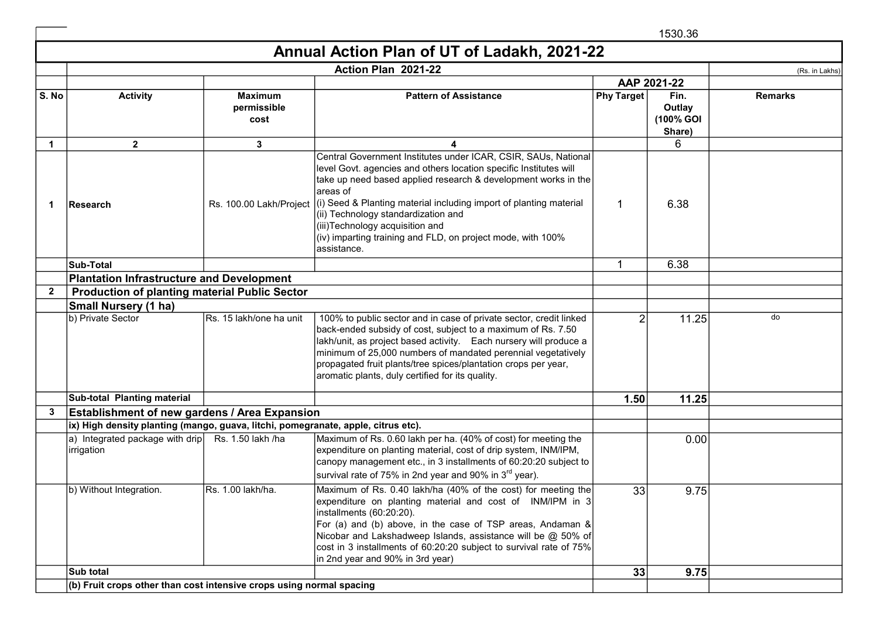1530.36

## Annual Action Plan of UT of Ladakh, 2021-22

|              | Action Plan 2021-22<br>(Rs. in Lakhs)                                             |                                       |                                                                                                                                                                                                                                                                                                                                                                                                                                                   |                |                                       |                |
|--------------|-----------------------------------------------------------------------------------|---------------------------------------|---------------------------------------------------------------------------------------------------------------------------------------------------------------------------------------------------------------------------------------------------------------------------------------------------------------------------------------------------------------------------------------------------------------------------------------------------|----------------|---------------------------------------|----------------|
|              |                                                                                   |                                       |                                                                                                                                                                                                                                                                                                                                                                                                                                                   |                | AAP 2021-22                           |                |
| S. No        | <b>Activity</b>                                                                   | <b>Maximum</b><br>permissible<br>cost | <b>Pattern of Assistance</b>                                                                                                                                                                                                                                                                                                                                                                                                                      | Phy Target     | Fin.<br>Outlay<br>(100% GOI<br>Share) | <b>Remarks</b> |
| $\mathbf 1$  | $\mathbf{2}$                                                                      | 3                                     |                                                                                                                                                                                                                                                                                                                                                                                                                                                   |                | 6                                     |                |
| 1            | Research                                                                          | Rs. 100.00 Lakh/Project               | Central Government Institutes under ICAR, CSIR, SAUs, National<br>level Govt. agencies and others location specific Institutes will<br>take up need based applied research & development works in the<br>areas of<br>$(i)$ Seed & Planting material including import of planting material<br>(ii) Technology standardization and<br>(iii)Technology acquisition and<br>(iv) imparting training and FLD, on project mode, with 100%<br>assistance. | $\mathbf 1$    | 6.38                                  |                |
|              | <b>Sub-Total</b>                                                                  |                                       |                                                                                                                                                                                                                                                                                                                                                                                                                                                   | $\mathbf{1}$   | 6.38                                  |                |
|              | <b>Plantation Infrastructure and Development</b>                                  |                                       |                                                                                                                                                                                                                                                                                                                                                                                                                                                   |                |                                       |                |
| $\mathbf{2}$ | <b>Production of planting material Public Sector</b>                              |                                       |                                                                                                                                                                                                                                                                                                                                                                                                                                                   |                |                                       |                |
|              | <b>Small Nursery (1 ha)</b>                                                       |                                       |                                                                                                                                                                                                                                                                                                                                                                                                                                                   |                |                                       |                |
|              | b) Private Sector                                                                 | Rs. 15 lakh/one ha unit               | 100% to public sector and in case of private sector, credit linked<br>back-ended subsidy of cost, subject to a maximum of Rs. 7.50<br>lakh/unit, as project based activity. Each nursery will produce a<br>minimum of 25,000 numbers of mandated perennial vegetatively<br>propagated fruit plants/tree spices/plantation crops per year,<br>aromatic plants, duly certified for its quality.                                                     | $\overline{2}$ | 11.25                                 | do             |
|              | Sub-total Planting material                                                       |                                       |                                                                                                                                                                                                                                                                                                                                                                                                                                                   | 1.50           | 11.25                                 |                |
| 3            | <b>Establishment of new gardens / Area Expansion</b>                              |                                       |                                                                                                                                                                                                                                                                                                                                                                                                                                                   |                |                                       |                |
|              | ix) High density planting (mango, guava, litchi, pomegranate, apple, citrus etc). |                                       |                                                                                                                                                                                                                                                                                                                                                                                                                                                   |                |                                       |                |
|              | a) Integrated package with drip<br>irrigation                                     | Rs. 1.50 lakh /ha                     | Maximum of Rs. 0.60 lakh per ha. (40% of cost) for meeting the<br>expenditure on planting material, cost of drip system, INM/IPM,<br>canopy management etc., in 3 installments of 60:20:20 subject to<br>survival rate of 75% in 2nd year and 90% in 3rd year).                                                                                                                                                                                   |                | 0.00                                  |                |
|              | b) Without Integration.                                                           | Rs. 1.00 lakh/ha.                     | Maximum of Rs. 0.40 lakh/ha (40% of the cost) for meeting the<br>expenditure on planting material and cost of INM/IPM in 3<br>installments (60:20:20).<br>For (a) and (b) above, in the case of TSP areas, Andaman &<br>Nicobar and Lakshadweep Islands, assistance will be @ 50% of<br>cost in 3 installments of 60:20:20 subject to survival rate of 75%<br>in 2nd year and 90% in 3rd year)                                                    | 33             | 9.75                                  |                |
|              | Sub total                                                                         |                                       |                                                                                                                                                                                                                                                                                                                                                                                                                                                   | 33             | 9.75                                  |                |
|              | $ $ (b) Fruit crops other than cost intensive crops using normal spacing          |                                       |                                                                                                                                                                                                                                                                                                                                                                                                                                                   |                |                                       |                |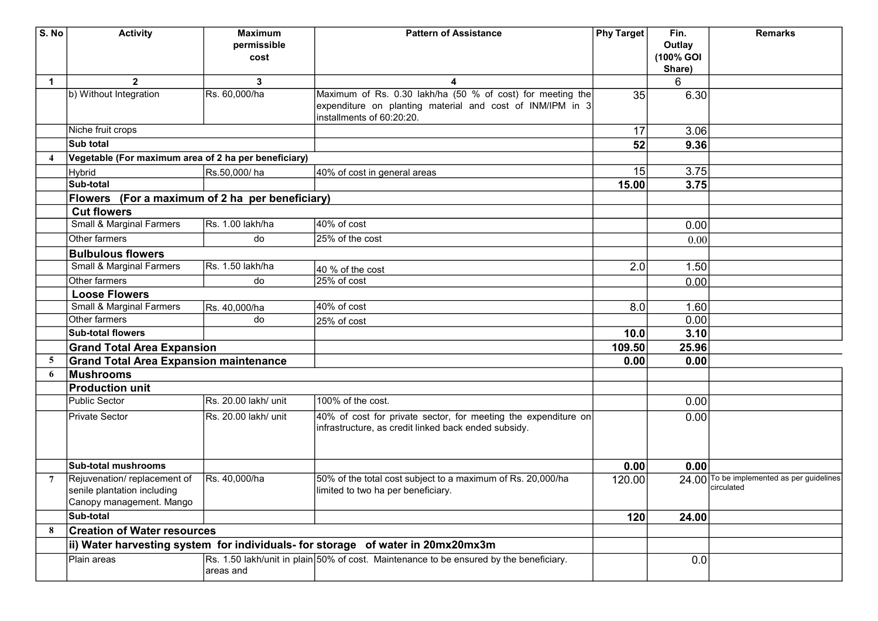| S. No          | <b>Activity</b>                                                                        | <b>Maximum</b>       | <b>Pattern of Assistance</b>                                                                                           | Phy Target | Fin.      | <b>Remarks</b>                                          |
|----------------|----------------------------------------------------------------------------------------|----------------------|------------------------------------------------------------------------------------------------------------------------|------------|-----------|---------------------------------------------------------|
|                |                                                                                        | permissible          |                                                                                                                        |            | Outlay    |                                                         |
|                |                                                                                        | cost                 |                                                                                                                        |            | (100% GOI |                                                         |
|                |                                                                                        |                      |                                                                                                                        |            | Share)    |                                                         |
| $\mathbf 1$    | $\mathbf{2}$                                                                           | 3                    | 4                                                                                                                      |            | 6         |                                                         |
|                | b) Without Integration                                                                 | Rs. 60,000/ha        | Maximum of Rs. 0.30 lakh/ha (50 % of cost) for meeting the                                                             | 35         | 6.30      |                                                         |
|                |                                                                                        |                      | expenditure on planting material and cost of INM/IPM in 3                                                              |            |           |                                                         |
|                |                                                                                        |                      | installments of 60:20:20.                                                                                              |            |           |                                                         |
|                | Niche fruit crops                                                                      |                      |                                                                                                                        | 17         | 3.06      |                                                         |
|                | Sub total                                                                              |                      |                                                                                                                        | 52         | 9.36      |                                                         |
|                | Vegetable (For maximum area of 2 ha per beneficiary)                                   |                      |                                                                                                                        |            |           |                                                         |
|                | <b>Hybrid</b>                                                                          | Rs.50,000/ha         | 40% of cost in general areas                                                                                           | 15         | 3.75      |                                                         |
|                | Sub-total                                                                              |                      |                                                                                                                        | 15.00      | 3.75      |                                                         |
|                | Flowers (For a maximum of 2 ha per beneficiary)                                        |                      |                                                                                                                        |            |           |                                                         |
|                | <b>Cut flowers</b>                                                                     |                      |                                                                                                                        |            |           |                                                         |
|                | Small & Marginal Farmers                                                               | Rs. 1.00 lakh/ha     | 40% of cost                                                                                                            |            | 0.00      |                                                         |
|                | Other farmers                                                                          | do                   | 25% of the cost                                                                                                        |            | 0.00      |                                                         |
|                | <b>Bulbulous flowers</b>                                                               |                      |                                                                                                                        |            |           |                                                         |
|                | <b>Small &amp; Marginal Farmers</b>                                                    | Rs. 1.50 lakh/ha     |                                                                                                                        | 2.0        | 1.50      |                                                         |
|                | Other farmers                                                                          | do                   | 40 % of the cost<br>25% of cost                                                                                        |            | 0.00      |                                                         |
|                | <b>Loose Flowers</b>                                                                   |                      |                                                                                                                        |            |           |                                                         |
|                | Small & Marginal Farmers                                                               | Rs. 40,000/ha        | 40% of cost                                                                                                            | 8.0        | 1.60      |                                                         |
|                | Other farmers                                                                          | do                   |                                                                                                                        |            | 0.00      |                                                         |
|                | <b>Sub-total flowers</b>                                                               |                      | 25% of cost                                                                                                            |            | 3.10      |                                                         |
|                |                                                                                        |                      |                                                                                                                        | 10.0       |           |                                                         |
|                | <b>Grand Total Area Expansion</b>                                                      |                      |                                                                                                                        | 109.50     | 25.96     |                                                         |
| 5              | <b>Grand Total Area Expansion maintenance</b>                                          |                      |                                                                                                                        | 0.00       | 0.00      |                                                         |
| 6              | Mushrooms                                                                              |                      |                                                                                                                        |            |           |                                                         |
|                | <b>Production unit</b>                                                                 |                      |                                                                                                                        |            |           |                                                         |
|                | Public Sector                                                                          | Rs. 20.00 lakh/ unit | 100% of the cost.                                                                                                      |            | 0.00      |                                                         |
|                | Private Sector                                                                         | Rs. 20.00 lakh/ unit | 40% of cost for private sector, for meeting the expenditure on<br>infrastructure, as credit linked back ended subsidy. |            | 0.00      |                                                         |
|                |                                                                                        |                      |                                                                                                                        |            |           |                                                         |
|                | <b>Sub-total mushrooms</b>                                                             |                      |                                                                                                                        | 0.00       | 0.00      |                                                         |
| $\overline{7}$ | Rejuvenation/replacement of<br>senile plantation including<br>Canopy management. Mango | Rs. 40,000/ha        | 50% of the total cost subject to a maximum of Rs. 20,000/ha<br>limited to two ha per beneficiary.                      | 120.00     |           | 24.00 To be implemented as per guidelines<br>circulated |
|                | Sub-total                                                                              |                      |                                                                                                                        | 120        | 24.00     |                                                         |
| 8              | <b>Creation of Water resources</b>                                                     |                      |                                                                                                                        |            |           |                                                         |
|                |                                                                                        |                      | ii) Water harvesting system for individuals- for storage of water in 20mx20mx3m                                        |            |           |                                                         |
|                | Plain areas                                                                            | areas and            | Rs. 1.50 lakh/unit in plain 50% of cost. Maintenance to be ensured by the beneficiary.                                 |            | 0.0       |                                                         |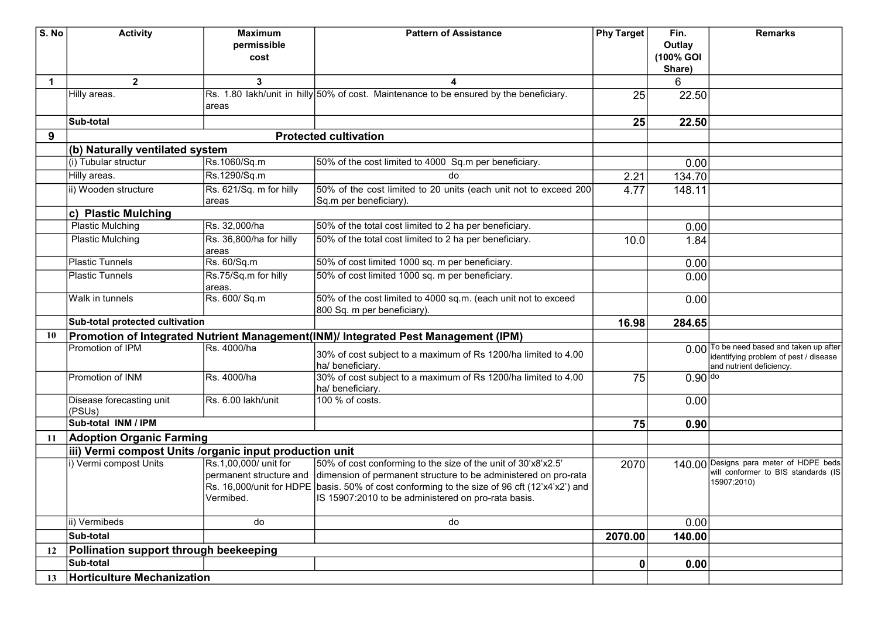| S. No       | <b>Activity</b>                                                                   | <b>Maximum</b>          | <b>Pattern of Assistance</b>                                                                  | Phy Target | Fin.      | <b>Remarks</b>                           |
|-------------|-----------------------------------------------------------------------------------|-------------------------|-----------------------------------------------------------------------------------------------|------------|-----------|------------------------------------------|
|             |                                                                                   | permissible             |                                                                                               |            | Outlay    |                                          |
|             |                                                                                   | cost                    |                                                                                               |            | (100% GOI |                                          |
|             |                                                                                   |                         |                                                                                               |            | Share)    |                                          |
| $\mathbf 1$ | $\overline{2}$                                                                    | $\mathbf{3}$            | 4                                                                                             |            | 6         |                                          |
|             | Hilly areas.                                                                      |                         | Rs. 1.80 lakh/unit in hilly 50% of cost. Maintenance to be ensured by the beneficiary.        | 25         | 22.50     |                                          |
|             |                                                                                   | areas                   |                                                                                               |            |           |                                          |
|             | Sub-total                                                                         |                         |                                                                                               | 25         | 22.50     |                                          |
| 9           |                                                                                   |                         | <b>Protected cultivation</b>                                                                  |            |           |                                          |
|             | (b) Naturally ventilated system                                                   |                         |                                                                                               |            |           |                                          |
|             | (i) Tubular structur                                                              | Rs.1060/Sq.m            | 50% of the cost limited to 4000 Sq.m per beneficiary.                                         |            | 0.00      |                                          |
|             | Hilly areas.                                                                      | Rs.1290/Sq.m            | do                                                                                            | 2.21       | 134.70    |                                          |
|             | ii) Wooden structure                                                              | Rs. 621/Sq. m for hilly | 50% of the cost limited to 20 units (each unit not to exceed 200                              | 4.77       | 148.11    |                                          |
|             |                                                                                   | areas                   | Sq.m per beneficiary).                                                                        |            |           |                                          |
|             | c) Plastic Mulching                                                               |                         |                                                                                               |            |           |                                          |
|             | <b>Plastic Mulching</b>                                                           | Rs. 32,000/ha           | 50% of the total cost limited to 2 ha per beneficiary.                                        |            | 0.00      |                                          |
|             | Plastic Mulching                                                                  | Rs. 36,800/ha for hilly | 50% of the total cost limited to 2 ha per beneficiary.                                        | 10.0       | 1.84      |                                          |
|             |                                                                                   | areas                   |                                                                                               |            |           |                                          |
|             | <b>Plastic Tunnels</b>                                                            | Rs. 60/Sq.m             | 50% of cost limited 1000 sq. m per beneficiary.                                               |            | 0.00      |                                          |
|             | <b>Plastic Tunnels</b>                                                            | Rs.75/Sq.m for hilly    | 50% of cost limited 1000 sq. m per beneficiary.                                               |            | 0.00      |                                          |
|             | Walk in tunnels                                                                   | areas.<br>Rs. 600/ Sq.m | 50% of the cost limited to 4000 sq.m. (each unit not to exceed                                |            |           |                                          |
|             |                                                                                   |                         | 800 Sq. m per beneficiary).                                                                   |            | 0.00      |                                          |
|             | Sub-total protected cultivation                                                   |                         |                                                                                               | 16.98      | 284.65    |                                          |
| 10          |                                                                                   |                         | Promotion of Integrated Nutrient Management(INM)/ Integrated Pest Management (IPM)            |            |           |                                          |
|             | Promotion of IPM                                                                  | Rs. 4000/ha             |                                                                                               |            |           | 0.00 To be need based and taken up after |
|             |                                                                                   |                         | 30% of cost subject to a maximum of Rs 1200/ha limited to 4.00                                |            |           | identifying problem of pest / disease    |
|             |                                                                                   |                         | ha/ beneficiary.                                                                              |            |           | and nutrient deficiency.                 |
|             | Promotion of INM                                                                  | Rs. 4000/ha             | 30% of cost subject to a maximum of Rs 1200/ha limited to 4.00                                | 75         | $0.90$ do |                                          |
|             |                                                                                   |                         | ha/ beneficiary.                                                                              |            |           |                                          |
|             | Disease forecasting unit<br>(PSUs)                                                | Rs. 6.00 lakh/unit      | 100 % of costs.                                                                               |            | 0.00      |                                          |
|             | Sub-total INM / IPM                                                               |                         |                                                                                               | 75         | 0.90      |                                          |
| 11          | <b>Adoption Organic Farming</b>                                                   |                         |                                                                                               |            |           |                                          |
|             |                                                                                   |                         |                                                                                               |            |           |                                          |
|             | iii) Vermi compost Units /organic input production unit<br>i) Vermi compost Units | Rs.1,00,000/ unit for   | 50% of cost conforming to the size of the unit of 30'x8'x2.5'                                 |            |           | 140.00 Designs para meter of HDPE beds   |
|             |                                                                                   | permanent structure and | dimension of permanent structure to be administered on pro-rata                               | 2070       |           | will conformer to BIS standards (IS      |
|             |                                                                                   |                         | Rs. 16,000/unit for HDPE  basis. 50% of cost conforming to the size of 96 cft (12'x4'x2') and |            |           | 15907:2010)                              |
|             |                                                                                   | Vermibed.               | IS 15907:2010 to be administered on pro-rata basis.                                           |            |           |                                          |
|             |                                                                                   |                         |                                                                                               |            |           |                                          |
|             | ii) Vermibeds                                                                     | do                      | do                                                                                            |            | 0.00      |                                          |
|             | Sub-total                                                                         |                         |                                                                                               | 2070.00    | 140.00    |                                          |
| 12          | Pollination support through beekeeping                                            |                         |                                                                                               |            |           |                                          |
|             | Sub-total                                                                         |                         |                                                                                               | 0          | 0.00      |                                          |
| 13          | Horticulture Mechanization                                                        |                         |                                                                                               |            |           |                                          |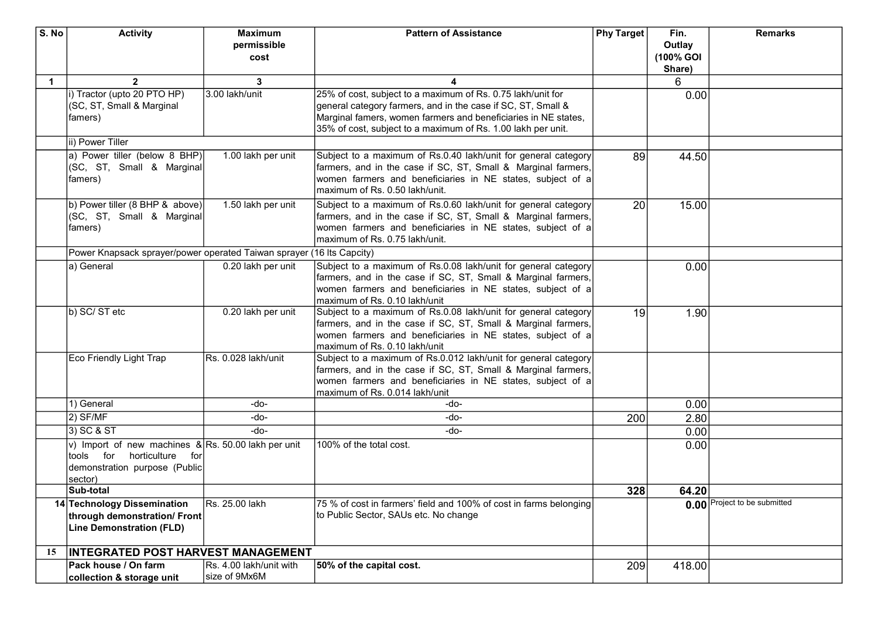| S. No       | <b>Activity</b>                                                       | <b>Maximum</b>          | <b>Pattern of Assistance</b>                                       | Phy Target | Fin.      | <b>Remarks</b>               |
|-------------|-----------------------------------------------------------------------|-------------------------|--------------------------------------------------------------------|------------|-----------|------------------------------|
|             |                                                                       | permissible             |                                                                    |            | Outlay    |                              |
|             |                                                                       | cost                    |                                                                    |            | (100% GOI |                              |
|             |                                                                       |                         |                                                                    |            | Share)    |                              |
| $\mathbf 1$ | $\overline{2}$                                                        | 3                       | 4                                                                  |            | 6         |                              |
|             | i) Tractor (upto 20 PTO HP)                                           | 3.00 lakh/unit          | 25% of cost, subject to a maximum of Rs. 0.75 lakh/unit for        |            | 0.00      |                              |
|             | (SC, ST, Small & Marginal                                             |                         | general category farmers, and in the case if SC, ST, Small &       |            |           |                              |
|             | famers)                                                               |                         | Marginal famers, women farmers and beneficiaries in NE states,     |            |           |                              |
|             |                                                                       |                         | 35% of cost, subject to a maximum of Rs. 1.00 lakh per unit.       |            |           |                              |
|             | ii) Power Tiller                                                      |                         |                                                                    |            |           |                              |
|             | a) Power tiller (below 8 BHP)                                         | 1.00 lakh per unit      | Subject to a maximum of Rs.0.40 lakh/unit for general category     | 89         | 44.50     |                              |
|             | (SC, ST, Small & Marginal                                             |                         | farmers, and in the case if SC, ST, Small & Marginal farmers,      |            |           |                              |
|             | famers)                                                               |                         | women farmers and beneficiaries in NE states, subject of a         |            |           |                              |
|             |                                                                       |                         | maximum of Rs. 0.50 lakh/unit.                                     |            |           |                              |
|             | b) Power tiller (8 BHP & above)                                       | 1.50 lakh per unit      | Subject to a maximum of Rs.0.60 lakh/unit for general category     | 20         | 15.00     |                              |
|             | (SC, ST, Small & Marginal                                             |                         | farmers, and in the case if SC, ST, Small & Marginal farmers,      |            |           |                              |
|             | famers)                                                               |                         | women farmers and beneficiaries in NE states, subject of a         |            |           |                              |
|             |                                                                       |                         | maximum of Rs. 0.75 lakh/unit.                                     |            |           |                              |
|             | Power Knapsack sprayer/power operated Taiwan sprayer (16 Its Capcity) |                         |                                                                    |            |           |                              |
|             | a) General                                                            | 0.20 lakh per unit      | Subject to a maximum of Rs.0.08 lakh/unit for general category     |            | 0.00      |                              |
|             |                                                                       |                         | farmers, and in the case if SC, ST, Small & Marginal farmers,      |            |           |                              |
|             |                                                                       |                         | women farmers and beneficiaries in NE states, subject of a         |            |           |                              |
|             |                                                                       |                         | maximum of Rs. 0.10 lakh/unit                                      |            |           |                              |
|             | b) SC/ST etc                                                          | 0.20 lakh per unit      | Subject to a maximum of Rs.0.08 lakh/unit for general category     | 19         | 1.90      |                              |
|             |                                                                       |                         | farmers, and in the case if SC, ST, Small & Marginal farmers,      |            |           |                              |
|             |                                                                       |                         | women farmers and beneficiaries in NE states, subject of a         |            |           |                              |
|             |                                                                       |                         | maximum of Rs. 0.10 lakh/unit                                      |            |           |                              |
|             | Eco Friendly Light Trap                                               | Rs. 0.028 lakh/unit     | Subject to a maximum of Rs.0.012 lakh/unit for general category    |            |           |                              |
|             |                                                                       |                         | farmers, and in the case if SC, ST, Small & Marginal farmers,      |            |           |                              |
|             |                                                                       |                         | women farmers and beneficiaries in NE states, subject of a         |            |           |                              |
|             |                                                                       |                         | maximum of Rs. 0.014 lakh/unit                                     |            |           |                              |
|             | 1) General                                                            | -do-                    | -do-                                                               |            | 0.00      |                              |
|             | $2)$ SF/MF                                                            | -do-                    | -do-                                                               | 200        | 2.80      |                              |
|             | 3) SC & ST                                                            | -do-                    | -do-                                                               |            | 0.00      |                              |
|             | v) Import of new machines $\&$ Rs. 50.00 lakh per unit                |                         | 100% of the total cost.                                            |            | 0.00      |                              |
|             | tools for horticulture for                                            |                         |                                                                    |            |           |                              |
|             | demonstration purpose (Public                                         |                         |                                                                    |            |           |                              |
|             | sector)                                                               |                         |                                                                    |            |           |                              |
|             | Sub-total                                                             |                         |                                                                    | 328        | 64.20     |                              |
|             | 14 Technology Dissemination                                           | Rs. 25.00 lakh          | 75 % of cost in farmers' field and 100% of cost in farms belonging |            |           | 0.00 Project to be submitted |
|             | through demonstration/ Front                                          |                         | to Public Sector, SAUs etc. No change                              |            |           |                              |
|             | <b>Line Demonstration (FLD)</b>                                       |                         |                                                                    |            |           |                              |
|             |                                                                       |                         |                                                                    |            |           |                              |
| 15          | <b>INTEGRATED POST HARVEST MANAGEMENT</b>                             |                         |                                                                    |            |           |                              |
|             | Pack house / On farm                                                  | Rs. 4.00 lakh/unit with | 50% of the capital cost.                                           | 209        | 418.00    |                              |
|             | collection & storage unit                                             | size of 9Mx6M           |                                                                    |            |           |                              |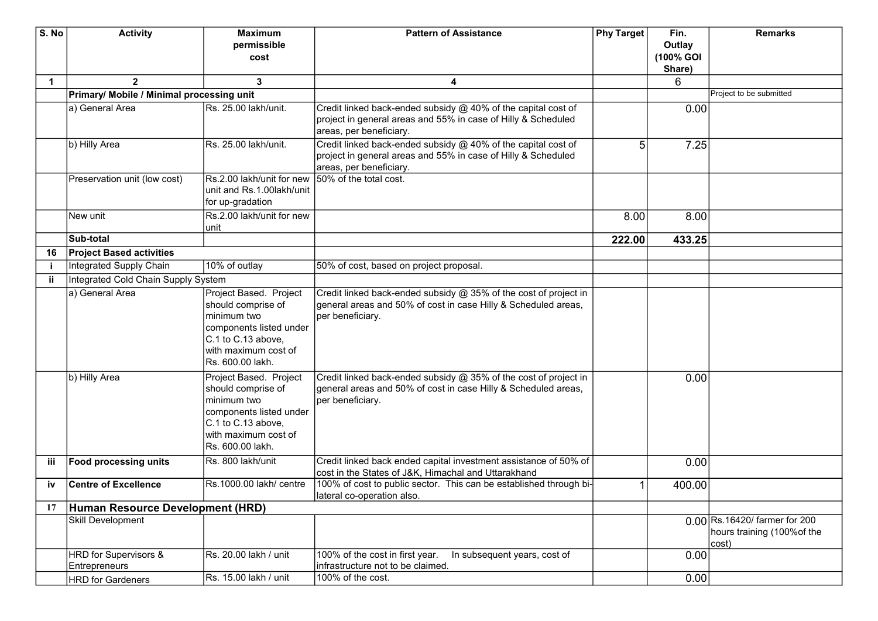| S. No       | <b>Activity</b>                           | <b>Maximum</b>                                | <b>Pattern of Assistance</b>                                                                     | Phy Target     | Fin.      | <b>Remarks</b>                |
|-------------|-------------------------------------------|-----------------------------------------------|--------------------------------------------------------------------------------------------------|----------------|-----------|-------------------------------|
|             |                                           | permissible                                   |                                                                                                  |                | Outlay    |                               |
|             |                                           | cost                                          |                                                                                                  |                | (100% GOI |                               |
|             |                                           |                                               |                                                                                                  |                | Share)    |                               |
| $\mathbf 1$ | $\overline{2}$                            | 3                                             | 4                                                                                                |                | 6         |                               |
|             | Primary/ Mobile / Minimal processing unit |                                               |                                                                                                  |                |           | Project to be submitted       |
|             | a) General Area                           | Rs. 25.00 lakh/unit.                          | Credit linked back-ended subsidy @ 40% of the capital cost of                                    |                | 0.00      |                               |
|             |                                           |                                               | project in general areas and 55% in case of Hilly & Scheduled                                    |                |           |                               |
|             |                                           |                                               | areas, per beneficiary.                                                                          |                |           |                               |
|             | b) Hilly Area                             | Rs. 25.00 lakh/unit.                          | Credit linked back-ended subsidy @ 40% of the capital cost of                                    | 5 <sup>1</sup> | 7.25      |                               |
|             |                                           |                                               | project in general areas and 55% in case of Hilly & Scheduled                                    |                |           |                               |
|             |                                           |                                               | areas, per beneficiary.                                                                          |                |           |                               |
|             | Preservation unit (low cost)              | Rs.2.00 lakh/unit for new                     | 50% of the total cost.                                                                           |                |           |                               |
|             |                                           | unit and Rs.1.00lakh/unit<br>for up-gradation |                                                                                                  |                |           |                               |
|             |                                           | Rs.2.00 lakh/unit for new                     |                                                                                                  |                |           |                               |
|             | New unit                                  | unit                                          |                                                                                                  | 8.00           | 8.00      |                               |
|             | Sub-total                                 |                                               |                                                                                                  | 222.00         | 433.25    |                               |
| 16          | <b>Project Based activities</b>           |                                               |                                                                                                  |                |           |                               |
|             | Integrated Supply Chain                   | 10% of outlay                                 | 50% of cost, based on project proposal.                                                          |                |           |                               |
| Ϊİ          | Integrated Cold Chain Supply System       |                                               |                                                                                                  |                |           |                               |
|             | a) General Area                           | Project Based. Project                        | Credit linked back-ended subsidy @ 35% of the cost of project in                                 |                |           |                               |
|             |                                           | should comprise of                            | general areas and 50% of cost in case Hilly & Scheduled areas,                                   |                |           |                               |
|             |                                           | minimum two                                   | per beneficiary.                                                                                 |                |           |                               |
|             |                                           | components listed under                       |                                                                                                  |                |           |                               |
|             |                                           | C.1 to C.13 above,                            |                                                                                                  |                |           |                               |
|             |                                           | with maximum cost of                          |                                                                                                  |                |           |                               |
|             |                                           | Rs. 600.00 lakh.                              |                                                                                                  |                |           |                               |
|             | b) Hilly Area                             | Project Based. Project                        | Credit linked back-ended subsidy @ 35% of the cost of project in                                 |                | 0.00      |                               |
|             |                                           | should comprise of                            | general areas and 50% of cost in case Hilly & Scheduled areas,                                   |                |           |                               |
|             |                                           | minimum two                                   | per beneficiary.                                                                                 |                |           |                               |
|             |                                           | components listed under                       |                                                                                                  |                |           |                               |
|             |                                           | C.1 to C.13 above,                            |                                                                                                  |                |           |                               |
|             |                                           | with maximum cost of                          |                                                                                                  |                |           |                               |
|             |                                           | Rs. 600.00 lakh.                              |                                                                                                  |                |           |                               |
| iii         | <b>Food processing units</b>              | Rs. 800 lakh/unit                             | Credit linked back ended capital investment assistance of 50% of                                 |                | 0.00      |                               |
|             |                                           |                                               | cost in the States of J&K, Himachal and Uttarakhand                                              |                |           |                               |
| iv          | <b>Centre of Excellence</b>               | Rs.1000.00 lakh/ centre                       | 100% of cost to public sector. This can be established through bi-<br>lateral co-operation also. |                | 400.00    |                               |
| 17          | Human Resource Development (HRD)          |                                               |                                                                                                  |                |           |                               |
|             | Skill Development                         |                                               |                                                                                                  |                |           | 0.00 Rs.16420/ farmer for 200 |
|             |                                           |                                               |                                                                                                  |                |           | hours training (100% of the   |
|             |                                           |                                               |                                                                                                  |                |           | cost)                         |
|             | <b>HRD</b> for Supervisors &              | Rs. 20.00 lakh / unit                         | 100% of the cost in first year.<br>In subsequent years, cost of                                  |                | 0.00      |                               |
|             | Entrepreneurs                             |                                               | infrastructure not to be claimed.                                                                |                |           |                               |
|             | <b>HRD</b> for Gardeners                  | Rs. 15.00 lakh / unit                         | 100% of the cost.                                                                                |                | 0.00      |                               |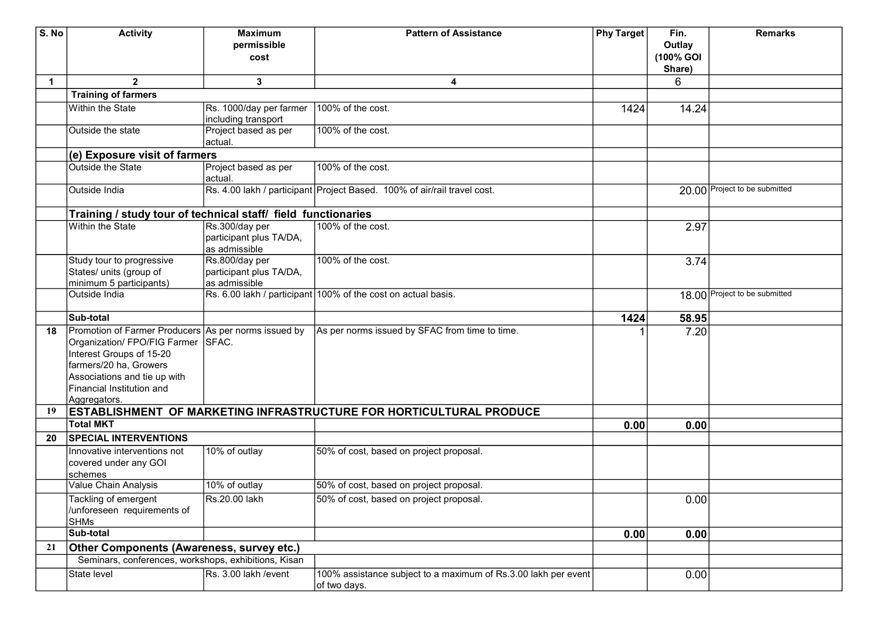| S. No | <b>Activity</b>                                               | <b>Maximum</b>          | <b>Pattern of Assistance</b>                                               | <b>Phy Target</b> | Fin.      | <b>Remarks</b>                |
|-------|---------------------------------------------------------------|-------------------------|----------------------------------------------------------------------------|-------------------|-----------|-------------------------------|
|       |                                                               | permissible             |                                                                            |                   | Outlay    |                               |
|       |                                                               | cost                    |                                                                            |                   | (100% GOI |                               |
|       |                                                               |                         |                                                                            |                   | Share)    |                               |
| 1     | $\overline{2}$                                                | 3                       | $\overline{\mathbf{4}}$                                                    |                   | 6         |                               |
|       | <b>Training of farmers</b>                                    |                         |                                                                            |                   |           |                               |
|       | <b>Within the State</b>                                       | Rs. 1000/day per farmer | 100% of the cost.                                                          | 1424              | 14.24     |                               |
|       |                                                               | including transport     |                                                                            |                   |           |                               |
|       | Outside the state                                             | Project based as per    | 100% of the cost.                                                          |                   |           |                               |
|       |                                                               | actual.                 |                                                                            |                   |           |                               |
|       | (e) Exposure visit of farmers                                 |                         |                                                                            |                   |           |                               |
|       | <b>Outside the State</b>                                      | Project based as per    | 100% of the cost.                                                          |                   |           |                               |
|       |                                                               | actual.                 |                                                                            |                   |           |                               |
|       | Outside India                                                 |                         | Rs. 4.00 lakh / participant Project Based. 100% of air/rail travel cost.   |                   |           | 20.00 Project to be submitted |
|       |                                                               |                         |                                                                            |                   |           |                               |
|       | Training / study tour of technical staff/ field functionaries |                         |                                                                            |                   |           |                               |
|       | <b>Within the State</b>                                       | Rs.300/day per          | 100% of the cost.                                                          |                   | 2.97      |                               |
|       |                                                               | participant plus TA/DA, |                                                                            |                   |           |                               |
|       |                                                               | as admissible           |                                                                            |                   |           |                               |
|       | Study tour to progressive                                     | Rs.800/day per          | 100% of the cost.                                                          |                   | 3.74      |                               |
|       | States/ units (group of                                       | participant plus TA/DA, |                                                                            |                   |           |                               |
|       | minimum 5 participants)                                       | as admissible           |                                                                            |                   |           |                               |
|       | Outside India                                                 |                         | Rs. 6.00 lakh / participant 100% of the cost on actual basis.              |                   |           | 18.00 Project to be submitted |
|       | <b>Sub-total</b>                                              |                         |                                                                            | 1424              | 58.95     |                               |
| 18    | Promotion of Farmer Producers As per norms issued by          |                         | As per norms issued by SFAC from time to time.                             |                   | 7.20      |                               |
|       | Organization/ FPO/FIG Farmer SFAC.                            |                         |                                                                            |                   |           |                               |
|       | Interest Groups of 15-20                                      |                         |                                                                            |                   |           |                               |
|       | farmers/20 ha, Growers                                        |                         |                                                                            |                   |           |                               |
|       | Associations and tie up with                                  |                         |                                                                            |                   |           |                               |
|       | Financial Institution and                                     |                         |                                                                            |                   |           |                               |
|       | Aggregators.                                                  |                         |                                                                            |                   |           |                               |
| 19    |                                                               |                         | <b>ESTABLISHMENT OF MARKETING INFRASTRUCTURE FOR HORTICULTURAL PRODUCE</b> |                   |           |                               |
|       | <b>Total MKT</b>                                              |                         |                                                                            | 0.00              | 0.00      |                               |
| 20    | <b>SPECIAL INTERVENTIONS</b>                                  |                         |                                                                            |                   |           |                               |
|       | Innovative interventions not                                  | 10% of outlay           | 50% of cost, based on project proposal.                                    |                   |           |                               |
|       | covered under any GOI                                         |                         |                                                                            |                   |           |                               |
|       | schemes                                                       |                         |                                                                            |                   |           |                               |
|       | Value Chain Analysis                                          | 10% of outlay           | 50% of cost, based on project proposal.                                    |                   |           |                               |
|       | Tackling of emergent                                          | Rs.20.00 lakh           | 50% of cost, based on project proposal.                                    |                   | 0.00      |                               |
|       | /unforeseen requirements of                                   |                         |                                                                            |                   |           |                               |
|       | <b>SHMs</b>                                                   |                         |                                                                            |                   |           |                               |
|       | Sub-total                                                     |                         |                                                                            | 0.00              | 0.00      |                               |
| 21    | Other Components (Awareness, survey etc.)                     |                         |                                                                            |                   |           |                               |
|       | Seminars, conferences, workshops, exhibitions, Kisan          |                         |                                                                            |                   |           |                               |
|       | State level                                                   | Rs. 3.00 lakh /event    | 100% assistance subject to a maximum of Rs.3.00 lakh per event             |                   | 0.00      |                               |
|       |                                                               |                         | of two days.                                                               |                   |           |                               |